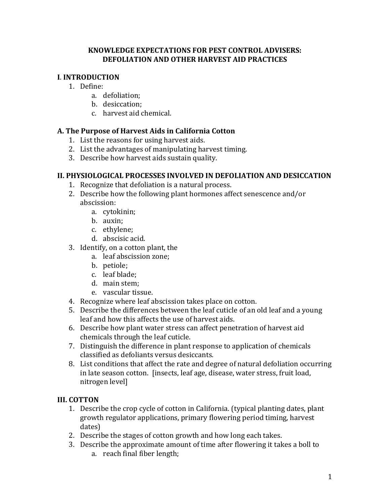#### **KNOWLEDGE EXPECTATIONS FOR PEST CONTROL ADVISERS: DEFOLIATION AND OTHER HARVEST AID PRACTICES**

## **I**. **INTRODUCTION**

- 1. Define:
	- a. defoliation;
	- b. desiccation;
	- c. harvest aid chemical.

### **A. The Purpose of Harvest Aids in California Cotton**

- 1. List the reasons for using harvest aids.
- 2. List the advantages of manipulating harvest timing.
- 3. Describe how harvest aids sustain quality.

#### **II. PHYSIOLOGICAL PROCESSES INVOLVED IN DEFOLIATION AND DESICCATION**

- 1. Recognize that defoliation is a natural process.
- 2. Describe how the following plant hormones affect senescence and/or abscission:
	- a. cytokinin;
	- b. auxin;
	- c. ethylene;
	- d. abscisic acid.
- 3. Identify, on a cotton plant, the
	- a. leaf abscission zone;
	- b. petiole;
	- c. leaf blade;
	- d. main stem;
	- e. vascular tissue.
- 4. Recognize where leaf abscission takes place on cotton.
- 5. Describe the differences between the leaf cuticle of an old leaf and a young leaf and how this affects the use of harvest aids.
- 6. Describe how plant water stress can affect penetration of harvest aid chemicals through the leaf cuticle.
- 7. Distinguish the difference in plant response to application of chemicals classified as defoliants versus desiccants.
- 8. List conditions that affect the rate and degree of natural defoliation occurring in late season cotton. [insects, leaf age, disease, water stress, fruit load, nitrogen level]

### **III. COTTON**

- 1. Describe the crop cycle of cotton in California. (typical planting dates, plant growth regulator applications, primary flowering period timing, harvest dates)
- 2. Describe the stages of cotton growth and how long each takes.
- 3. Describe the approximate amount of time after flowering it takes a boll to a. reach final fiber length;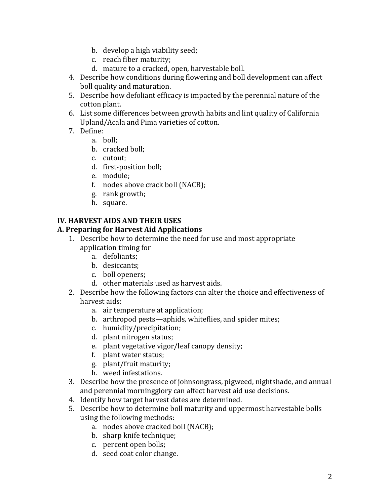- b. develop a high viability seed;
- c. reach fiber maturity;
- d. mature to a cracked, open, harvestable boll.
- 4. Describe how conditions during flowering and boll development can affect boll quality and maturation.
- 5. Describe how defoliant efficacy is impacted by the perennial nature of the cotton plant.
- 6. List some differences between growth habits and lint quality of California Upland/Acala and Pima varieties of cotton.
- 7. Define:
	- a. boll;
	- b. cracked boll;
	- c. cutout;
	- d. first-position boll;
	- e. module;
	- f. nodes above crack boll (NACB);
	- g. rank growth;
	- h. square.

# **IV. HARVEST AIDS AND THEIR USES**

#### **A. Preparing for Harvest Aid Applications**

- 1. Describe how to determine the need for use and most appropriate application timing for
	- a. defoliants;
	- b. desiccants;
	- c. boll openers;
	- d. other materials used as harvest aids.
- 2. Describe how the following factors can alter the choice and effectiveness of harvest aids:
	- a. air temperature at application;
	- b. arthropod pests—aphids, whiteflies, and spider mites;
	- c. humidity/precipitation;
	- d. plant nitrogen status;
	- e. plant vegetative vigor/leaf canopy density;
	- f. plant water status;
	- g. plant/fruit maturity;
	- h. weed infestations.
- 3. Describe how the presence of johnsongrass, pigweed, nightshade, and annual and perennial morningglory can affect harvest aid use decisions.
- 4. Identify how target harvest dates are determined.
- 5. Describe how to determine boll maturity and uppermost harvestable bolls using the following methods:
	- a. nodes above cracked boll (NACB);
	- b. sharp knife technique;
	- c. percent open bolls;
	- d. seed coat color change.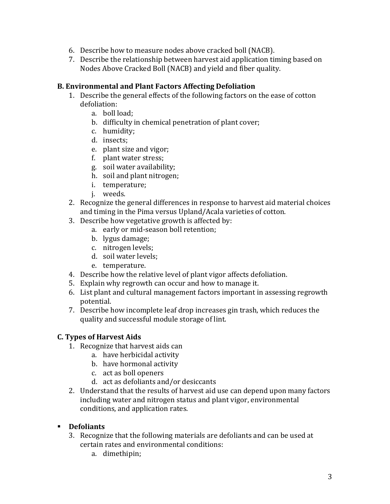- 6. Describe how to measure nodes above cracked boll (NACB).
- 7. Describe the relationship between harvest aid application timing based on Nodes Above Cracked Boll (NACB) and yield and fiber quality.

#### **B. Environmental and Plant Factors Affecting Defoliation**

- 1. Describe the general effects of the following factors on the ease of cotton defoliation:
	- a. boll load;
	- b. difficulty in chemical penetration of plant cover;
	- c. humidity;
	- d. insects;
	- e. plant size and vigor;
	- f. plant water stress;
	- g. soil water availability;
	- h. soil and plant nitrogen;
	- i. temperature;
	- j. weeds.
- 2. Recognize the general differences in response to harvest aid material choices and timing in the Pima versus Upland/Acala varieties of cotton.
- 3. Describe how vegetative growth is affected by:
	- a. early or mid-season boll retention;
	- b. lygus damage;
	- c. nitrogen levels;
	- d. soil water levels;
	- e. temperature.
- 4. Describe how the relative level of plant vigor affects defoliation.
- 5. Explain why regrowth can occur and how to manage it.
- 6. List plant and cultural management factors important in assessing regrowth potential.
- 7. Describe how incomplete leaf drop increases gin trash, which reduces the quality and successful module storage of lint.

### **C. Types of Harvest Aids**

- 1. Recognize that harvest aids can
	- a. have herbicidal activity
	- b. have hormonal activity
	- c. act as boll openers
	- d. act as defoliants and/or desiccants
- 2. Understand that the results of harvest aid use can depend upon many factors including water and nitrogen status and plant vigor, environmental conditions, and application rates.

#### **Defoliants**

- 3. Recognize that the following materials are defoliants and can be used at certain rates and environmental conditions:
	- a. dimethipin;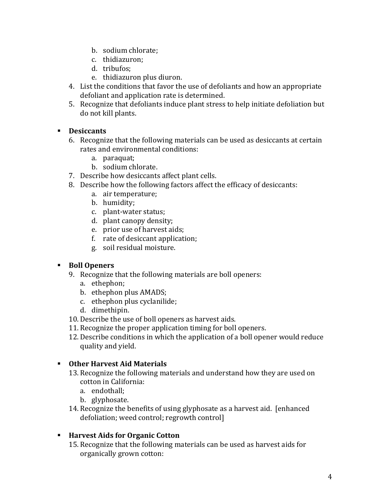- b. sodium chlorate;
- c. thidiazuron;
- d. tribufos;
- e. thidiazuron plus diuron.
- 4. List the conditions that favor the use of defoliants and how an appropriate defoliant and application rate is determined.
- 5. Recognize that defoliants induce plant stress to help initiate defoliation but do not kill plants.

### **Desiccants**

- 6. Recognize that the following materials can be used as desiccants at certain rates and environmental conditions:
	- a. paraquat;
	- b. sodium chlorate.
- 7. Describe how desiccants affect plant cells.
- 8. Describe how the following factors affect the efficacy of desiccants:
	- a. air temperature;
	- b. humidity;
	- c. plant-water status;
	- d. plant canopy density;
	- e. prior use of harvest aids;
	- f. rate of desiccant application;
	- g. soil residual moisture.

### **Boll Openers**

- 9. Recognize that the following materials are boll openers:
	- a. ethephon;
	- b. ethephon plus AMADS;
	- c. ethephon plus cyclanilide;
	- d. dimethipin.
- 10. Describe the use of boll openers as harvest aids.
- 11. Recognize the proper application timing for boll openers.
- 12. Describe conditions in which the application of a boll opener would reduce quality and yield.

### **Other Harvest Aid Materials**

- 13. Recognize the following materials and understand how they are used on cotton in California:
	- a. endothall;
	- b. glyphosate.
- 14. Recognize the benefits of using glyphosate as a harvest aid. [enhanced defoliation; weed control; regrowth control]

### **Harvest Aids for Organic Cotton**

15. Recognize that the following materials can be used as harvest aids for organically grown cotton: